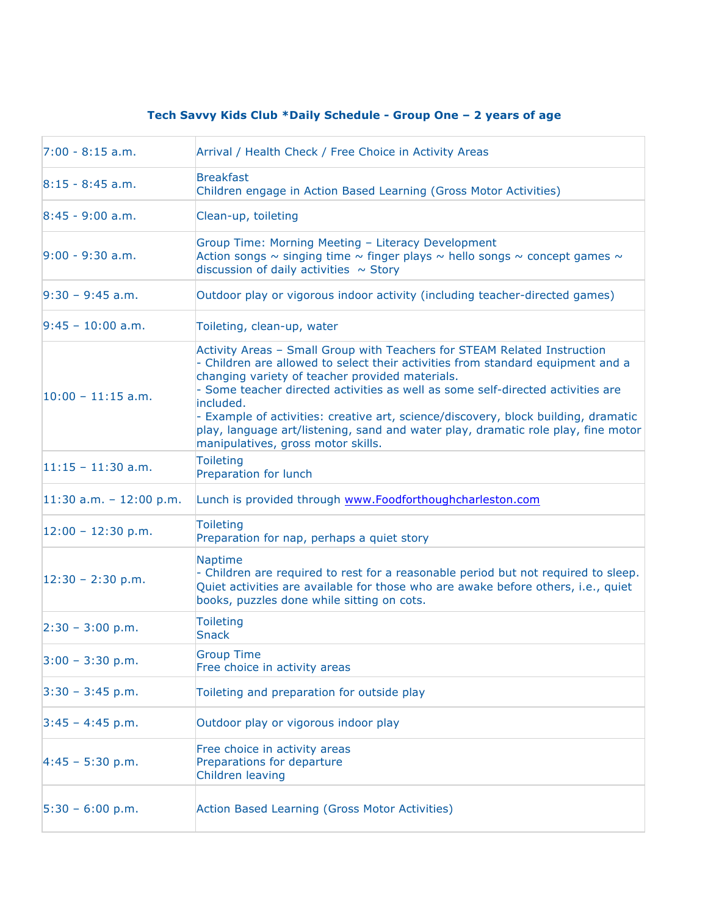## **Tech Savvy Kids Club \*Daily Schedule - Group One – 2 years of age**

| $7:00 - 8:15$ a.m.        | Arrival / Health Check / Free Choice in Activity Areas                                                                                                                                                                                                                                                                                                                                                                                                                                                                          |
|---------------------------|---------------------------------------------------------------------------------------------------------------------------------------------------------------------------------------------------------------------------------------------------------------------------------------------------------------------------------------------------------------------------------------------------------------------------------------------------------------------------------------------------------------------------------|
| $8:15 - 8:45$ a.m.        | <b>Breakfast</b><br>Children engage in Action Based Learning (Gross Motor Activities)                                                                                                                                                                                                                                                                                                                                                                                                                                           |
| $8:45 - 9:00$ a.m.        | Clean-up, toileting                                                                                                                                                                                                                                                                                                                                                                                                                                                                                                             |
| $9:00 - 9:30$ a.m.        | Group Time: Morning Meeting - Literacy Development<br>Action songs $\sim$ singing time $\sim$ finger plays $\sim$ hello songs $\sim$ concept games $\sim$<br>discussion of daily activities $\sim$ Story                                                                                                                                                                                                                                                                                                                        |
| $9:30 - 9:45$ a.m.        | Outdoor play or vigorous indoor activity (including teacher-directed games)                                                                                                                                                                                                                                                                                                                                                                                                                                                     |
| $9:45 - 10:00$ a.m.       | Toileting, clean-up, water                                                                                                                                                                                                                                                                                                                                                                                                                                                                                                      |
| $10:00 - 11:15$ a.m.      | Activity Areas - Small Group with Teachers for STEAM Related Instruction<br>- Children are allowed to select their activities from standard equipment and a<br>changing variety of teacher provided materials.<br>- Some teacher directed activities as well as some self-directed activities are<br>included.<br>- Example of activities: creative art, science/discovery, block building, dramatic<br>play, language art/listening, sand and water play, dramatic role play, fine motor<br>manipulatives, gross motor skills. |
| $11:15 - 11:30$ a.m.      | <b>Toileting</b><br>Preparation for lunch                                                                                                                                                                                                                                                                                                                                                                                                                                                                                       |
| $11:30$ a.m. - 12:00 p.m. | Lunch is provided through www.Foodforthoughcharleston.com                                                                                                                                                                                                                                                                                                                                                                                                                                                                       |
| $12:00 - 12:30$ p.m.      | <b>Toileting</b><br>Preparation for nap, perhaps a quiet story                                                                                                                                                                                                                                                                                                                                                                                                                                                                  |
| $12:30 - 2:30$ p.m.       | Naptime<br>- Children are required to rest for a reasonable period but not required to sleep.<br>Quiet activities are available for those who are awake before others, i.e., quiet<br>books, puzzles done while sitting on cots.                                                                                                                                                                                                                                                                                                |
| $2:30 - 3:00$ p.m.        | <b>Toileting</b><br><b>Snack</b>                                                                                                                                                                                                                                                                                                                                                                                                                                                                                                |
| $3:00 - 3:30$ p.m.        | <b>Group Time</b><br>Free choice in activity areas                                                                                                                                                                                                                                                                                                                                                                                                                                                                              |
| $3:30 - 3:45$ p.m.        | Toileting and preparation for outside play                                                                                                                                                                                                                                                                                                                                                                                                                                                                                      |
| $3:45 - 4:45$ p.m.        | Outdoor play or vigorous indoor play                                                                                                                                                                                                                                                                                                                                                                                                                                                                                            |
| $4:45 - 5:30$ p.m.        | Free choice in activity areas<br>Preparations for departure<br>Children leaving                                                                                                                                                                                                                                                                                                                                                                                                                                                 |
| $5:30 - 6:00 p.m.$        | Action Based Learning (Gross Motor Activities)                                                                                                                                                                                                                                                                                                                                                                                                                                                                                  |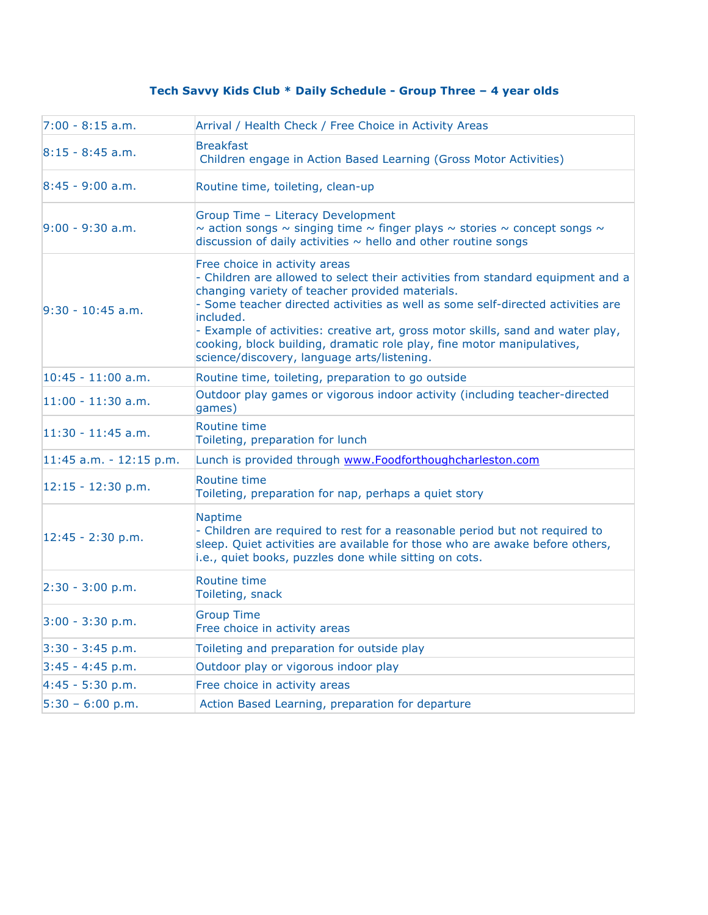## **Tech Savvy Kids Club \* Daily Schedule - Group Three – 4 year olds**

| $7:00 - 8:15$ a.m.      | Arrival / Health Check / Free Choice in Activity Areas                                                                                                                                                                                                                                                                                                                                                                                                                          |
|-------------------------|---------------------------------------------------------------------------------------------------------------------------------------------------------------------------------------------------------------------------------------------------------------------------------------------------------------------------------------------------------------------------------------------------------------------------------------------------------------------------------|
| $8:15 - 8:45$ a.m.      | <b>Breakfast</b><br>Children engage in Action Based Learning (Gross Motor Activities)                                                                                                                                                                                                                                                                                                                                                                                           |
| $8:45 - 9:00$ a.m.      | Routine time, toileting, clean-up                                                                                                                                                                                                                                                                                                                                                                                                                                               |
| $9:00 - 9:30$ a.m.      | Group Time - Literacy Development<br>$\sim$ action songs $\sim$ singing time $\sim$ finger plays $\sim$ stories $\sim$ concept songs $\sim$<br>discussion of daily activities $\sim$ hello and other routine songs                                                                                                                                                                                                                                                              |
| $9:30 - 10:45$ a.m.     | Free choice in activity areas<br>- Children are allowed to select their activities from standard equipment and a<br>changing variety of teacher provided materials.<br>- Some teacher directed activities as well as some self-directed activities are<br>included.<br>- Example of activities: creative art, gross motor skills, sand and water play,<br>cooking, block building, dramatic role play, fine motor manipulatives,<br>science/discovery, language arts/listening. |
| $10:45 - 11:00$ a.m.    | Routine time, toileting, preparation to go outside                                                                                                                                                                                                                                                                                                                                                                                                                              |
| $11:00 - 11:30$ a.m.    | Outdoor play games or vigorous indoor activity (including teacher-directed<br>games)                                                                                                                                                                                                                                                                                                                                                                                            |
| $11:30 - 11:45$ a.m.    | Routine time<br>Toileting, preparation for lunch                                                                                                                                                                                                                                                                                                                                                                                                                                |
| 11:45 a.m. - 12:15 p.m. | Lunch is provided through www.Foodforthoughcharleston.com                                                                                                                                                                                                                                                                                                                                                                                                                       |
| $12:15 - 12:30$ p.m.    | Routine time<br>Toileting, preparation for nap, perhaps a quiet story                                                                                                                                                                                                                                                                                                                                                                                                           |
| $12:45 - 2:30$ p.m.     | Naptime<br>- Children are required to rest for a reasonable period but not required to<br>sleep. Quiet activities are available for those who are awake before others,<br>i.e., quiet books, puzzles done while sitting on cots.                                                                                                                                                                                                                                                |
| $2:30 - 3:00 p.m.$      | Routine time<br>Toileting, snack                                                                                                                                                                                                                                                                                                                                                                                                                                                |
| $3:00 - 3:30$ p.m.      | <b>Group Time</b><br>Free choice in activity areas                                                                                                                                                                                                                                                                                                                                                                                                                              |
| $3:30 - 3:45$ p.m.      | Toileting and preparation for outside play                                                                                                                                                                                                                                                                                                                                                                                                                                      |
| $3:45 - 4:45$ p.m.      | Outdoor play or vigorous indoor play                                                                                                                                                                                                                                                                                                                                                                                                                                            |
| $4:45 - 5:30$ p.m.      | Free choice in activity areas                                                                                                                                                                                                                                                                                                                                                                                                                                                   |
| $5:30 - 6:00 p.m.$      | Action Based Learning, preparation for departure                                                                                                                                                                                                                                                                                                                                                                                                                                |